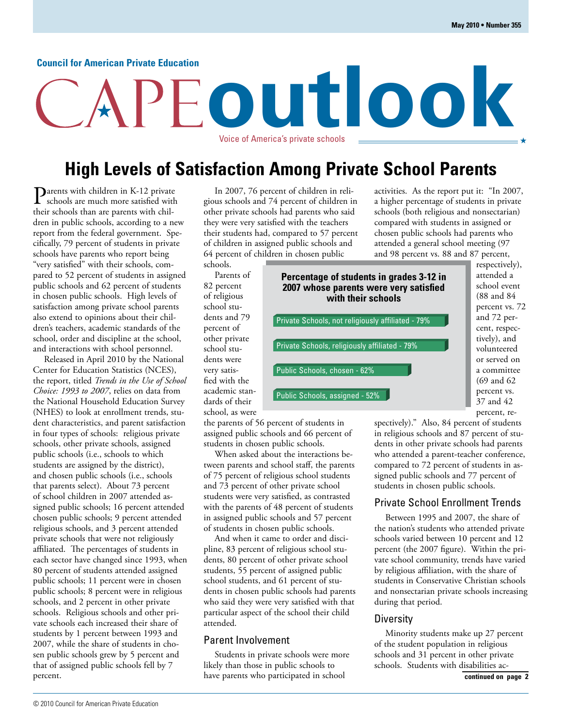### **Council for American Private Education**

## Voice of America's private schools **High Levels of Satisfaction Among Private School Parents**

**outlook**

 $\sum_{\text{schools}}$  are  $\frac{1}{2}$  in K-12 private schools are much more satisfied with their schools than are parents with children in public schools, according to a new report from the federal government. Specifically, 79 percent of students in private schools have parents who report being "very satisfied" with their schools, compared to 52 percent of students in assigned public schools and 62 percent of students in chosen public schools. High levels of satisfaction among private school parents also extend to opinions about their children's teachers, academic standards of the school, order and discipline at the school, and interactions with school personnel.

Released in April 2010 by the National Center for Education Statistics (NCES), the report, titled *Trends in the Use of School Choice: 1993 to 2007*, relies on data from the National Household Education Survey (NHES) to look at enrollment trends, student characteristics, and parent satisfaction in four types of schools: religious private schools, other private schools, assigned public schools (i.e., schools to which students are assigned by the district), and chosen public schools (i.e., schools that parents select). About 73 percent of school children in 2007 attended assigned public schools; 16 percent attended chosen public schools; 9 percent attended religious schools, and 3 percent attended private schools that were not religiously affiliated. The percentages of students in each sector have changed since 1993, when 80 percent of students attended assigned public schools; 11 percent were in chosen public schools; 8 percent were in religious schools, and 2 percent in other private schools. Religious schools and other private schools each increased their share of students by 1 percent between 1993 and 2007, while the share of students in chosen public schools grew by 5 percent and that of assigned public schools fell by 7 percent.

In 2007, 76 percent of children in religious schools and 74 percent of children in other private schools had parents who said they were very satisfied with the teachers their students had, compared to 57 percent of children in assigned public schools and 64 percent of children in chosen public schools.

Parents of

82 percent of religious school students and 79 percent of other private school students were very satisfied with the academic standards of their school, as were

the parents of 56 percent of students in assigned public schools and 66 percent of students in chosen public schools.

When asked about the interactions between parents and school staff, the parents of 75 percent of religious school students and 73 percent of other private school students were very satisfied, as contrasted with the parents of 48 percent of students in assigned public schools and 57 percent of students in chosen public schools.

And when it came to order and discipline, 83 percent of religious school students, 80 percent of other private school students, 55 percent of assigned public school students, and 61 percent of students in chosen public schools had parents who said they were very satisfied with that particular aspect of the school their child attended.

#### Parent Involvement

Students in private schools were more likely than those in public schools to have parents who participated in school

activities. As the report put it: "In 2007, a higher percentage of students in private schools (both religious and nonsectarian) compared with students in assigned or chosen public schools had parents who attended a general school meeting (97 and 98 percent vs. 88 and 87 percent,

**Percentage of students in grades 3-12 in 2007 whose parents were very satisfied with their schools** Private Schools, not religiously affiliated - 79% Private Schools, religiously affiliated - 79% Public Schools, assigned - 52% Public Schools, chosen - 62%

respectively), attended a school event (88 and 84 percent vs. 72 and 72 percent, respectively), and volunteered or served on a committee (69 and 62 percent vs. 37 and 42 percent, re-

spectively)." Also, 84 percent of students in religious schools and 87 percent of students in other private schools had parents who attended a parent-teacher conference, compared to 72 percent of students in assigned public schools and 77 percent of students in chosen public schools.

### Private School Enrollment Trends

Between 1995 and 2007, the share of the nation's students who attended private schools varied between 10 percent and 12 percent (the 2007 figure). Within the private school community, trends have varied by religious affiliation, with the share of students in Conservative Christian schools and nonsectarian private schools increasing during that period.

#### **Diversity**

Minority students make up 27 percent of the student population in religious schools and 31 percent in other private schools. Students with disabilities ac-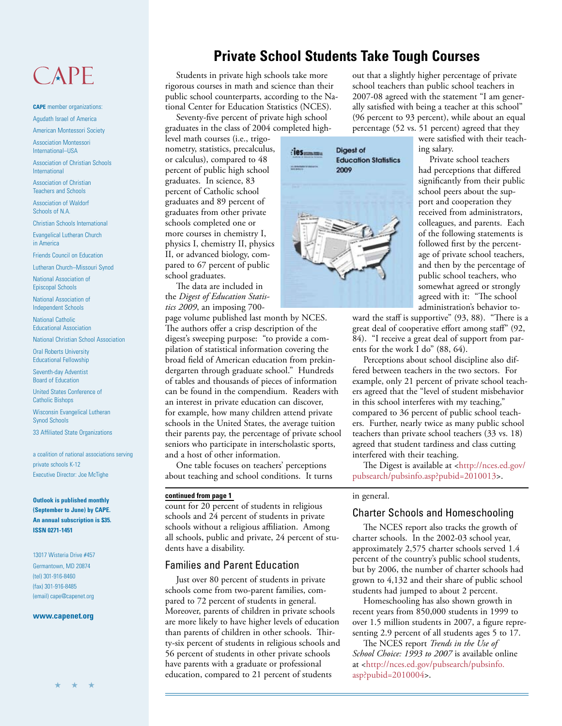# CAPE

**CAPE** member organizations: Agudath Israel of America

American Montessori Society

Association Montessori International–USA

Association of Christian Schools International

Association of Christian Teachers and Schools

Association of Waldorf Schools of N.A.

Christian Schools International

Evangelical Lutheran Church in America

Friends Council on Education

Lutheran Church–Missouri Synod

National Association of Episcopal Schools

National Association of Independent Schools

National Catholic Educational Association

National Christian School Association

Oral Roberts University Educational Fellowship

Seventh-day Adventist Board of Education

United States Conference of Catholic Bishops

Wisconsin Evangelical Lutheran Synod Schools

33 Affiliated State Organizations

a coalition of national associations serving private schools K-12 Executive Director: Joe McTighe

**Outlook is published monthly (September to June) by CAPE. An annual subscription is \$35. ISSN 0271-1451**

13017 Wisteria Drive #457 Germantown, MD 20874 (tel) 301-916-8460 (fax) 301-916-8485 (email) cape@capenet.org

#### **www.capenet.org**

### **Private School Students Take Tough Courses**

Students in private high schools take more rigorous courses in math and science than their public school counterparts, according to the National Center for Education Statistics (NCES).

Seventy-five percent of private high school graduates in the class of 2004 completed high-

level math courses (i.e., trigonometry, statistics, precalculus, or calculus), compared to 48 percent of public high school graduates. In science, 83 percent of Catholic school graduates and 89 percent of graduates from other private schools completed one or more courses in chemistry I, physics I, chemistry II, physics II, or advanced biology, compared to 67 percent of public school graduates.

The data are included in the *Digest of Education Statistics 2009*, an imposing 700-

page volume published last month by NCES. The authors offer a crisp description of the digest's sweeping purpose: "to provide a compilation of statistical information covering the broad field of American education from prekindergarten through graduate school." Hundreds of tables and thousands of pieces of information can be found in the compendium. Readers with an interest in private education can discover, for example, how many children attend private schools in the United States, the average tuition their parents pay, the percentage of private school seniors who participate in interscholastic sports, and a host of other information.

One table focuses on teachers' perceptions about teaching and school conditions. It turns

#### **continued from page 1**

count for 20 percent of students in religious schools and 24 percent of students in private schools without a religious affiliation. Among all schools, public and private, 24 percent of students have a disability.

### Families and Parent Education

Just over 80 percent of students in private schools come from two-parent families, compared to 72 percent of students in general. Moreover, parents of children in private schools are more likely to have higher levels of education than parents of children in other schools. Thirty-six percent of students in religious schools and 56 percent of students in other private schools have parents with a graduate or professional education, compared to 21 percent of students



out that a slightly higher percentage of private school teachers than public school teachers in 2007-08 agreed with the statement "I am generally satisfied with being a teacher at this school" (96 percent to 93 percent), while about an equal percentage (52 vs. 51 percent) agreed that they

were satisfied with their teaching salary.

Private school teachers had perceptions that differed significantly from their public school peers about the support and cooperation they received from administrators, colleagues, and parents. Each of the following statements is followed first by the percentage of private school teachers, and then by the percentage of public school teachers, who somewhat agreed or strongly agreed with it: "The school administration's behavior to-

ward the staff is supportive" (93, 88). "There is a great deal of cooperative effort among staff" (92, 84). "I receive a great deal of support from parents for the work I do" (88, 64).

Perceptions about school discipline also differed between teachers in the two sectors. For example, only 21 percent of private school teachers agreed that the "level of student misbehavior in this school interferes with my teaching," compared to 36 percent of public school teachers. Further, nearly twice as many public school teachers than private school teachers (33 vs. 18) agreed that student tardiness and class cutting interfered with their teaching.

[The Digest is available at <http://nces.ed.gov/](http://nces.ed.gov/pubsearch/pubsinfo.asp?pubid=2010013) pubsearch/pubsinfo.asp?pubid=2010013>.

#### in general.

### Charter Schools and Homeschooling

The NCES report also tracks the growth of charter schools. In the 2002-03 school year, approximately 2,575 charter schools served 1.4 percent of the country's public school students, but by 2006, the number of charter schools had grown to 4,132 and their share of public school students had jumped to about 2 percent.

Homeschooling has also shown growth in recent years from 850,000 students in 1999 to over 1.5 million students in 2007, a figure representing 2.9 percent of all students ages 5 to 17.

The NCES report *Trends in the Use of School Choice: 1993 to 2007* is available online [at <http://nces.ed.gov/pubsearch/pubsinfo.](http://nces.ed.gov/pubsearch/pubsinfo.asp?pubid=2010004) asp?pubid=2010004>.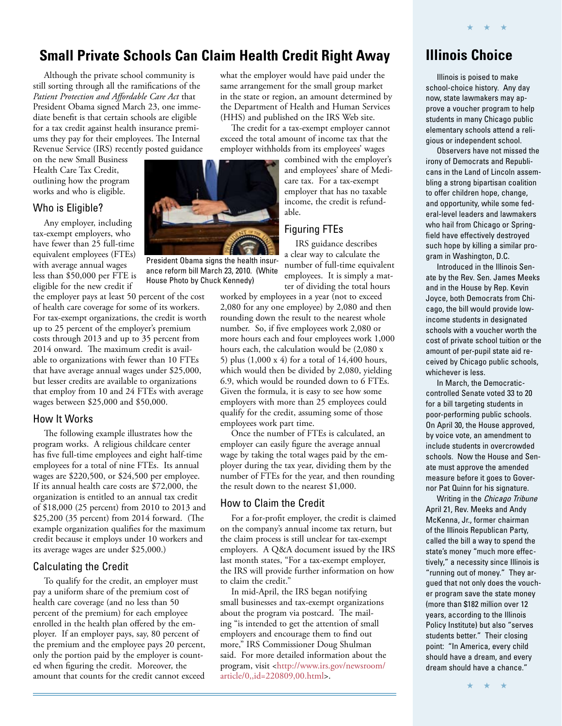### **Small Private Schools Can Claim Health Credit Right Away**

Although the private school community is still sorting through all the ramifications of the *Patient Protection and Affordable Care Act* that President Obama signed March 23, one immediate benefit is that certain schools are eligible for a tax credit against health insurance premiums they pay for their employees. The Internal Revenue Service (IRS) recently posted guidance

on the new Small Business Health Care Tax Credit, outlining how the program works and who is eligible.

### Who is Eligible?

Any employer, including tax-exempt employers, who have fewer than 25 full-time equivalent employees (FTEs) with average annual wages less than \$50,000 per FTE is eligible for the new credit if

the employer pays at least 50 percent of the cost of health care coverage for some of its workers. For tax-exempt organizations, the credit is worth up to 25 percent of the employer's premium costs through 2013 and up to 35 percent from 2014 onward. The maximum credit is available to organizations with fewer than 10 FTEs that have average annual wages under \$25,000, but lesser credits are available to organizations that employ from 10 and 24 FTEs with average wages between \$25,000 and \$50,000.

### How It Works

The following example illustrates how the program works. A religious childcare center has five full-time employees and eight half-time employees for a total of nine FTEs. Its annual wages are \$220,500, or \$24,500 per employee. If its annual health care costs are \$72,000, the organization is entitled to an annual tax credit of \$18,000 (25 percent) from 2010 to 2013 and \$25,200 (35 percent) from 2014 forward. (The example organization qualifies for the maximum credit because it employs under 10 workers and its average wages are under \$25,000.)

### Calculating the Credit

To qualify for the credit, an employer must pay a uniform share of the premium cost of health care coverage (and no less than 50 percent of the premium) for each employee enrolled in the health plan offered by the employer. If an employer pays, say, 80 percent of the premium and the employee pays 20 percent, only the portion paid by the employer is counted when figuring the credit. Moreover, the amount that counts for the credit cannot exceed what the employer would have paid under the same arrangement for the small group market in the state or region, an amount determined by the Department of Health and Human Services (HHS) and published on the IRS Web site.

The credit for a tax-exempt employer cannot exceed the total amount of income tax that the employer withholds from its employees' wages

combined with the employer's and employees' share of Medicare tax. For a tax-exempt employer that has no taxable income, the credit is refundable.

### Figuring FTEs

IRS guidance describes a clear way to calculate the number of full-time equivalent employees. It is simply a matter of dividing the total hours

worked by employees in a year (not to exceed 2,080 for any one employee) by 2,080 and then rounding down the result to the nearest whole number. So, if five employees work 2,080 or more hours each and four employees work 1,000 hours each, the calculation would be (2,080 x 5) plus (1,000 x 4) for a total of 14,400 hours, which would then be divided by 2,080, yielding 6.9, which would be rounded down to 6 FTEs. Given the formula, it is easy to see how some employers with more than 25 employees could qualify for the credit, assuming some of those employees work part time.

Once the number of FTEs is calculated, an employer can easily figure the average annual wage by taking the total wages paid by the employer during the tax year, dividing them by the number of FTEs for the year, and then rounding the result down to the nearest \$1,000.

### How to Claim the Credit

For a for-profit employer, the credit is claimed on the company's annual income tax return, but the claim process is still unclear for tax-exempt employers. A Q&A document issued by the IRS last month states, "For a tax-exempt employer, the IRS will provide further information on how to claim the credit."

In mid-April, the IRS began notifying small businesses and tax-exempt organizations about the program via postcard. The mailing "is intended to get the attention of small employers and encourage them to find out more," IRS Commissioner Doug Shulman said. For more detailed information about the [program, visit <http://www.irs.gov/newsroom/](http://www.irs.gov/newsroom/article/0,,id=220809,00.html) article/0,,id=220809,00.html>.

### **Illinois Choice**

Illinois is poised to make school-choice history. Any day now, state lawmakers may approve a voucher program to help students in many Chicago public elementary schools attend a religious or independent school.

★ ★ ★

Observers have not missed the irony of Democrats and Republicans in the Land of Lincoln assembling a strong bipartisan coalition to offer children hope, change, and opportunity, while some federal-level leaders and lawmakers who hail from Chicago or Springfield have effectively destroyed such hope by killing a similar program in Washington, D.C.

Introduced in the Illinois Senate by the Rev. Sen. James Meeks and in the House by Rep. Kevin Joyce, both Democrats from Chicago, the bill would provide lowincome students in designated schools with a voucher worth the cost of private school tuition or the amount of per-pupil state aid received by Chicago public schools, whichever is less.

In March, the Democraticcontrolled Senate voted 33 to 20 for a bill targeting students in poor-performing public schools. On April 30, the House approved, by voice vote, an amendment to include students in overcrowded schools. Now the House and Senate must approve the amended measure before it goes to Governor Pat Quinn for his signature.

Writing in the Chicago Tribune April 21, Rev. Meeks and Andy McKenna, Jr., former chairman of the Illinois Republican Party, called the bill a way to spend the state's money "much more effectively," a necessity since Illinois is "running out of money." They argued that not only does the voucher program save the state money (more than \$182 million over 12 years, according to the Illinois Policy Institute) but also "serves students better." Their closing point: "In America, every child should have a dream, and every dream should have a chance."



President Obama signs the health insurance reform bill March 23, 2010. (White House Photo by Chuck Kennedy)